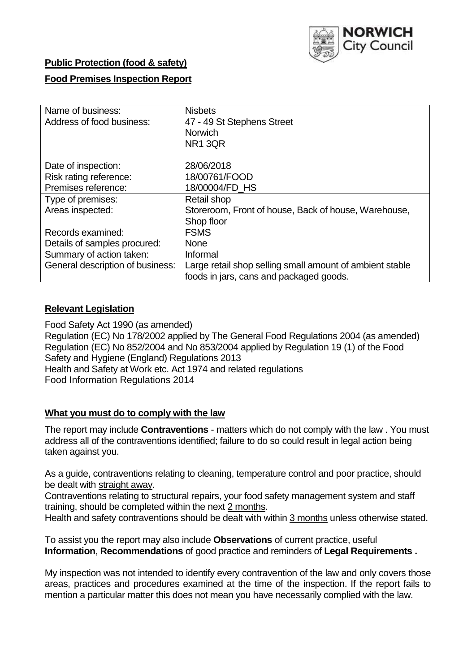

## **Public Protection (food & safety)**

## **Food Premises Inspection Report**

| Name of business:                | <b>Nisbets</b>                                           |  |  |  |  |  |
|----------------------------------|----------------------------------------------------------|--|--|--|--|--|
| Address of food business:        | 47 - 49 St Stephens Street                               |  |  |  |  |  |
|                                  | <b>Norwich</b>                                           |  |  |  |  |  |
|                                  | <b>NR1 3QR</b>                                           |  |  |  |  |  |
| Date of inspection:              | 28/06/2018                                               |  |  |  |  |  |
| Risk rating reference:           | 18/00761/FOOD                                            |  |  |  |  |  |
| Premises reference:              | 18/00004/FD HS                                           |  |  |  |  |  |
| Type of premises:                | Retail shop                                              |  |  |  |  |  |
| Areas inspected:                 | Storeroom, Front of house, Back of house, Warehouse,     |  |  |  |  |  |
|                                  | Shop floor                                               |  |  |  |  |  |
| Records examined:                | <b>FSMS</b>                                              |  |  |  |  |  |
| Details of samples procured:     | <b>None</b>                                              |  |  |  |  |  |
| Summary of action taken:         | Informal                                                 |  |  |  |  |  |
| General description of business: | Large retail shop selling small amount of ambient stable |  |  |  |  |  |
|                                  | foods in jars, cans and packaged goods.                  |  |  |  |  |  |

### **Relevant Legislation**

Food Safety Act 1990 (as amended) Regulation (EC) No 178/2002 applied by The General Food Regulations 2004 (as amended) Regulation (EC) No 852/2004 and No 853/2004 applied by Regulation 19 (1) of the Food Safety and Hygiene (England) Regulations 2013 Health and Safety at Work etc. Act 1974 and related regulations Food Information Regulations 2014

#### **What you must do to comply with the law**

The report may include **Contraventions** - matters which do not comply with the law . You must address all of the contraventions identified; failure to do so could result in legal action being taken against you.

As a guide, contraventions relating to cleaning, temperature control and poor practice, should be dealt with straight away.

Contraventions relating to structural repairs, your food safety management system and staff training, should be completed within the next 2 months.

Health and safety contraventions should be dealt with within 3 months unless otherwise stated.

To assist you the report may also include **Observations** of current practice, useful **Information**, **Recommendations** of good practice and reminders of **Legal Requirements .**

My inspection was not intended to identify every contravention of the law and only covers those areas, practices and procedures examined at the time of the inspection. If the report fails to mention a particular matter this does not mean you have necessarily complied with the law.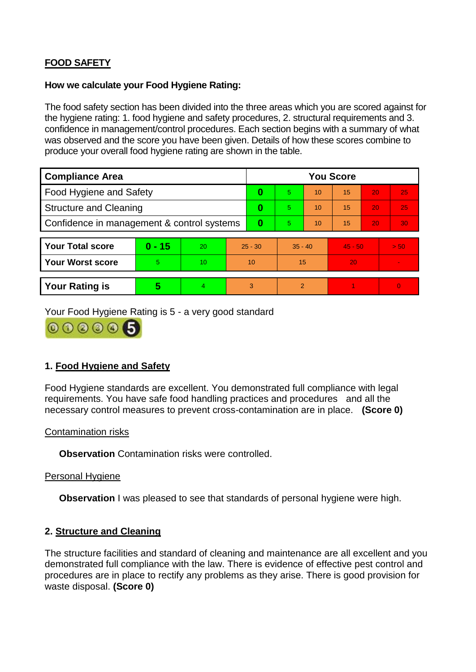# **FOOD SAFETY**

## **How we calculate your Food Hygiene Rating:**

The food safety section has been divided into the three areas which you are scored against for the hygiene rating: 1. food hygiene and safety procedures, 2. structural requirements and 3. confidence in management/control procedures. Each section begins with a summary of what was observed and the score you have been given. Details of how these scores combine to produce your overall food hygiene rating are shown in the table.

| <b>Compliance Area</b>                     |          |    |           | <b>You Score</b> |           |    |           |    |                |  |  |
|--------------------------------------------|----------|----|-----------|------------------|-----------|----|-----------|----|----------------|--|--|
| Food Hygiene and Safety                    |          |    | 0         | $\overline{5}$   | 10        | 15 | 20        | 25 |                |  |  |
| <b>Structure and Cleaning</b>              |          |    | 0         | 5                | 10        | 15 | 20        | 25 |                |  |  |
| Confidence in management & control systems |          |    | $\bf{0}$  | 5                | 10        | 15 | 20        | 30 |                |  |  |
|                                            |          |    |           |                  |           |    |           |    |                |  |  |
| <b>Your Total score</b>                    | $0 - 15$ | 20 | $25 - 30$ |                  | $35 - 40$ |    | $45 - 50$ |    | > 50           |  |  |
| Your Worst score                           | 5        | 10 | 10        |                  | 15        |    | 20        |    | $\blacksquare$ |  |  |
|                                            |          |    |           |                  |           |    |           |    |                |  |  |
| <b>Your Rating is</b>                      | 5        | 4. | 3         |                  | 2         |    |           |    | $\overline{0}$ |  |  |

Your Food Hygiene Rating is 5 - a very good standard

000005

## **1. Food Hygiene and Safety**

Food Hygiene standards are excellent. You demonstrated full compliance with legal requirements. You have safe food handling practices and procedures and all the necessary control measures to prevent cross-contamination are in place. **(Score 0)**

## Contamination risks

**Observation** Contamination risks were controlled.

#### Personal Hygiene

**Observation** I was pleased to see that standards of personal hygiene were high.

## **2. Structure and Cleaning**

The structure facilities and standard of cleaning and maintenance are all excellent and you demonstrated full compliance with the law. There is evidence of effective pest control and procedures are in place to rectify any problems as they arise. There is good provision for waste disposal. **(Score 0)**